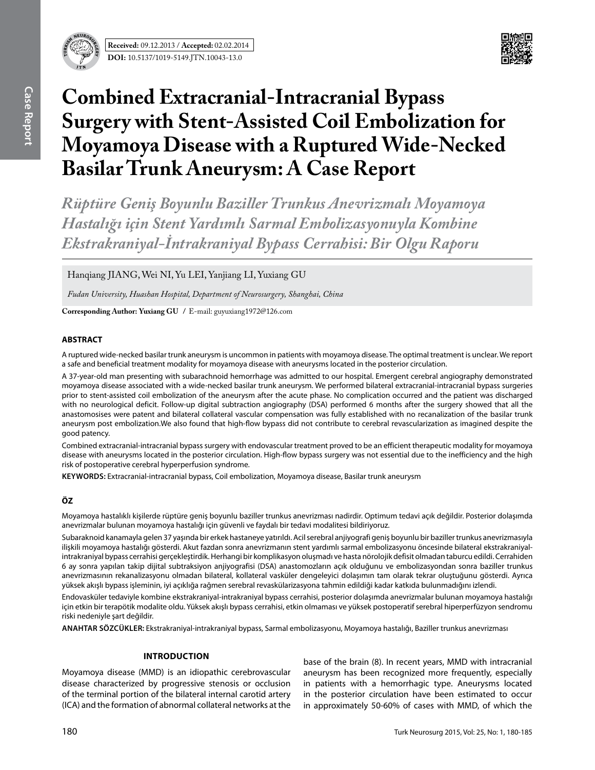



# **Combined Extracranial-Intracranial Bypass Surgery with Stent-Assisted Coil Embolization for Moyamoya Disease with a Ruptured Wide-Necked Basilar Trunk Aneurysm: A Case Report**

*Rüptüre Geniş Boyunlu Baziller Trunkus Anevrizmalı Moyamoya Hastalığı için Stent Yardımlı Sarmal Embolizasyonuyla Kombine Ekstrakraniyal-İntrakraniyal Bypass Cerrahisi: Bir Olgu Raporu* 

Hanqiang JIANG, Wei NI, Yu LEI, Yanjiang LI, Yuxiang GU

*Fudan University, Huashan Hospital, Department of Neurosurgery, Shanghai, China*

**Corresponding Author: Yuxiang Gu /** E-mail: guyuxiang1972@126.com

# **ABSTRACT**

A ruptured wide-necked basilar trunk aneurysm is uncommon in patients with moyamoya disease. The optimal treatment is unclear. We report a safe and beneficial treatment modality for moyamoya disease with aneurysms located in the posterior circulation.

A 37-year-old man presenting with subarachnoid hemorrhage was admitted to our hospital. Emergent cerebral angiography demonstrated moyamoya disease associated with a wide-necked basilar trunk aneurysm. We performed bilateral extracranial-intracranial bypass surgeries prior to stent-assisted coil embolization of the aneurysm after the acute phase. No complication occurred and the patient was discharged with no neurological deficit. Follow-up digital subtraction angiography (DSA) performed 6 months after the surgery showed that all the anastomosises were patent and bilateral collateral vascular compensation was fully established with no recanalization of the basilar trunk aneurysm post embolization.We also found that high-flow bypass did not contribute to cerebral revascularization as imagined despite the good patency.

Combined extracranial-intracranial bypass surgery with endovascular treatment proved to be an efficient therapeutic modality for moyamoya disease with aneurysms located in the posterior circulation. High-flow bypass surgery was not essential due to the inefficiency and the high risk of postoperative cerebral hyperperfusion syndrome.

**Keywords:** Extracranial-intracranial bypass, Coil embolization, Moyamoya disease, Basilar trunk aneurysm

# **ÖZ**

Moyamoya hastalıklı kişilerde rüptüre geniş boyunlu baziller trunkus anevrizması nadirdir. Optimum tedavi açık değildir. Posterior dolaşımda anevrizmalar bulunan moyamoya hastalığı için güvenli ve faydalı bir tedavi modalitesi bildiriyoruz.

Subaraknoid kanamayla gelen 37 yaşında bir erkek hastaneye yatırıldı. Acil serebral anjiyografi geniş boyunlu bir baziller trunkus anevrizmasıyla ilişkili moyamoya hastalığı gösterdi. Akut fazdan sonra anevrizmanın stent yardımlı sarmal embolizasyonu öncesinde bilateral ekstrakraniyalintrakraniyal bypass cerrahisi gerçekleştirdik. Herhangi bir komplikasyon oluşmadı ve hasta nörolojik defisit olmadan taburcu edildi. Cerrahiden 6 ay sonra yapılan takip dijital subtraksiyon anjiyografisi (DSA) anastomozların açık olduğunu ve embolizasyondan sonra baziller trunkus anevrizmasının rekanalizasyonu olmadan bilateral, kollateral vasküler dengeleyici dolaşımın tam olarak tekrar oluştuğunu gösterdi. Ayrıca yüksek akışlı bypass işleminin, iyi açıklığa rağmen serebral revaskülarizasyona tahmin edildiği kadar katkıda bulunmadığını izlendi.

Endovasküler tedaviyle kombine ekstrakraniyal-intrakraniyal bypass cerrahisi, posterior dolaşımda anevrizmalar bulunan moyamoya hastalığı için etkin bir terapötik modalite oldu. Yüksek akışlı bypass cerrahisi, etkin olmaması ve yüksek postoperatif serebral hiperperfüzyon sendromu riski nedeniyle şart değildir.

**ANAHTAR SÖZCÜKLER:** Ekstrakraniyal-intrakraniyal bypass, Sarmal embolizasyonu, Moyamoya hastalığı, Baziller trunkus anevrizması

# **Introduction**

Moyamoya disease (MMD) is an idiopathic cerebrovascular disease characterized by progressive stenosis or occlusion of the terminal portion of the bilateral internal carotid artery (ICA) and the formation of abnormal collateral networks at the

base of the brain (8). In recent years, MMD with intracranial aneurysm has been recognized more frequently, especially in patients with a hemorrhagic type. Aneurysms located in the posterior circulation have been estimated to occur in approximately 50-60% of cases with MMD, of which the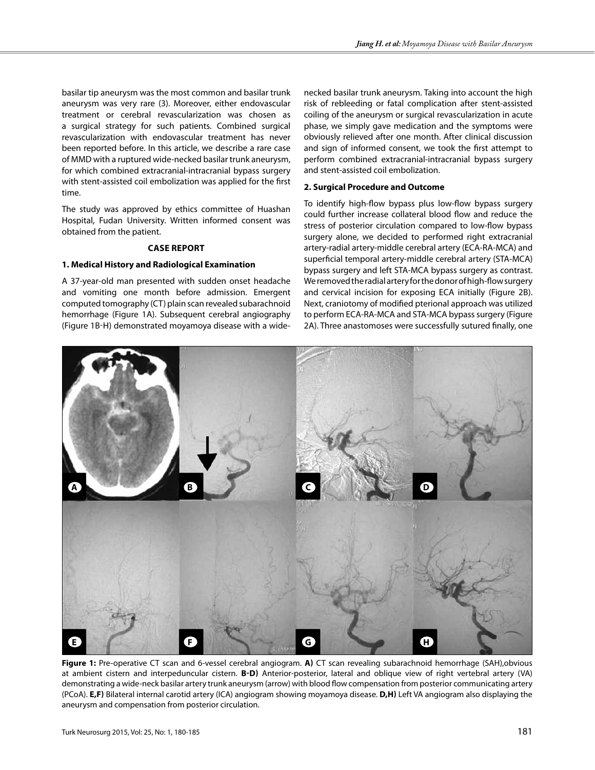basilar tip aneurysm was the most common and basilar trunk aneurysm was very rare (3). Moreover, either endovascular treatment or cerebral revascularization was chosen as a surgical strategy for such patients. Combined surgical revascularization with endovascular treatment has never been reported before. In this article, we describe a rare case of MMD with a ruptured wide-necked basilar trunk aneurysm, for which combined extracranial-intracranial bypass surgery with stent-assisted coil embolization was applied for the first time.

The study was approved by ethics committee of Huashan Hospital, Fudan University. Written informed consent was obtained from the patient.

#### **Case Report**

#### **1. Medical History and Radiological Examination**

A 37-year-old man presented with sudden onset headache and vomiting one month before admission. Emergent computed tomography (CT) plain scan revealed subarachnoid hemorrhage (Figure 1A). Subseguent cerebral angiography (Figure 1b-h) demonstrated moyamoya disease with a wide-

necked basilar trunk aneurysm. Taking into account the high risk of rebleeding or fatal complication after stent-assisted coiling of the aneurysm or surgical revascularization in acute phase, we simply gave medication and the symptoms were obviously relieved after one month. After clinical discussion and sign of informed consent, we took the first attempt to perform combined extracranial-intracranial bypass surgery and stent-assisted coil embolization.

#### **2. Surgical Procedure and Outcome**

To identify high-flow bypass plus low-flow bypass surgery could further increase collateral blood flow and reduce the stress of posterior circulation compared to low-flow bypass surgery alone, we decided to performed right extracranial artery-radial artery-middle cerebral artery (ECA-RA-MCA) and superficial temporal artery-middle cerebral artery (STA-MCA) bypass surgery and left STA-MCA bypass surgery as contrast. We removed the radial artery for the donor of high-flow surgery and cervical incision for exposing ECA initially (Figure 2b). Next, craniotomy of modified pterional approach was utilized to perform ECA-RA-MCA and STA-MCA bypass surgery (Figure 2a). Three anastomoses were successfully sutured finally, one



**Figure 1:** Pre-operative CT scan and 6-vessel cerebral angiogram. **a)** CT scan revealing subarachnoid hemorrhage (SAH),obvious at ambient cistern and interpeduncular cistern. **B-D)** Anterior-posterior, lateral and oblique view of right vertebral artery (VA) demonstrating a wide-neck basilar artery trunk aneurysm (arrow) with blood flow compensation from posterior communicating artery (PCoA). **e,f)** Bilateral internal carotid artery (ICA) angiogram showing moyamoya disease. **d,h)** Left VA angiogram also displaying the aneurysm and compensation from posterior circulation.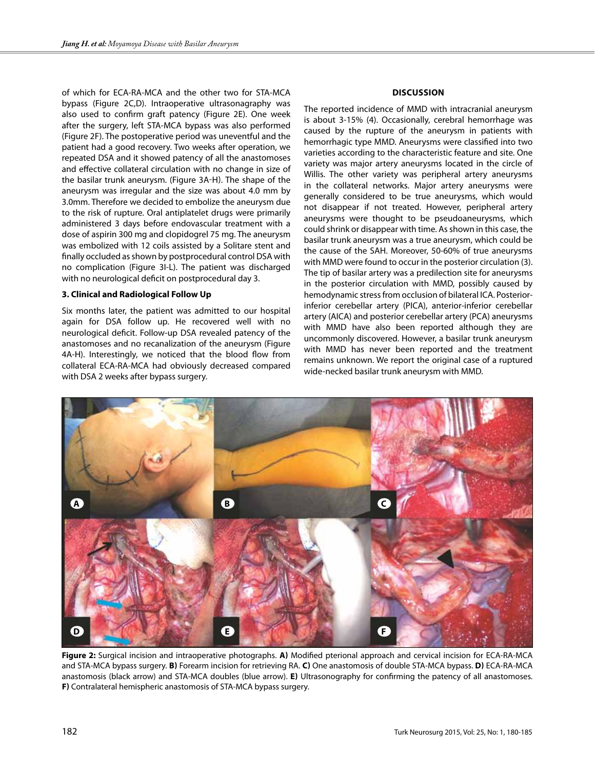of which for ECA-RA-MCA and the other two for STA-MCA bypass (Figure 2C,D). Intraoperative ultrasonagraphy was also used to confirm graft patency (Figure 2E). One week after the surgery, left STA-MCA bypass was also performed (Figure 2f). The postoperative period was uneventful and the patient had a good recovery. Two weeks after operation, we repeated DSA and it showed patency of all the anastomoses and effective collateral circulation with no change in size of the basilar trunk aneurysm. (Figure 3A-H). The shape of the aneurysm was irregular and the size was about 4.0 mm by 3.0mm. Therefore we decided to embolize the aneurysm due to the risk of rupture. Oral antiplatelet drugs were primarily administered 3 days before endovascular treatment with a dose of aspirin 300 mg and clopidogrel 75 mg. The aneurysm was embolized with 12 coils assisted by a Solitare stent and finally occluded as shown by postprocedural control DSA with no complication (Figure 3I-L). The patient was discharged with no neurological deficit on postprocedural day 3.

#### **3. Clinical and Radiological Follow Up**

Six months later, the patient was admitted to our hospital again for DSA follow up. He recovered well with no neurological deficit. Follow-up DSA revealed patency of the anastomoses and no recanalization of the aneurysm (Figure 4A-H). Interestingly, we noticed that the blood flow from collateral ECA-RA-MCA had obviously decreased compared with DSA 2 weeks after bypass surgery.

# **Discussion**

The reported incidence of MMD with intracranial aneurysm is about 3-15% (4). Occasionally, cerebral hemorrhage was caused by the rupture of the aneurysm in patients with hemorrhagic type MMD. Aneurysms were classified into two varieties according to the characteristic feature and site. One variety was major artery aneurysms located in the circle of Willis. The other variety was peripheral artery aneurysms in the collateral networks. Major artery aneurysms were generally considered to be true aneurysms, which would not disappear if not treated. However, peripheral artery aneurysms were thought to be pseudoaneurysms, which could shrink or disappear with time. As shown in this case, the basilar trunk aneurysm was a true aneurysm, which could be the cause of the SAH. Moreover, 50-60% of true aneurysms with MMD were found to occur in the posterior circulation (3). The tip of basilar artery was a predilection site for aneurysms in the posterior circulation with MMD, possibly caused by hemodynamic stress from occlusion of bilateral ICA. Posteriorinferior cerebellar artery (PICA), anterior-inferior cerebellar artery (AICA) and posterior cerebellar artery (PCA) aneurysms with MMD have also been reported although they are uncommonly discovered. However, a basilar trunk aneurysm with MMD has never been reported and the treatment remains unknown. We report the original case of a ruptured wide-necked basilar trunk aneurysm with MMD.



**Figure 2:** Surgical incision and intraoperative photographs. **a)** Modified pterional approach and cervical incision for ECA-RA-MCA and STA-MCA bypass surgery. **b)** Forearm incision for retrieving RA. **c)** One anastomosis of double STA-MCA bypass. **d)** ECA-RA-MCA anastomosis (black arrow) and STA-MCA doubles (blue arrow). **e)** Ultrasonography for confirming the patency of all anastomoses. **f)** Contralateral hemispheric anastomosis of STA-MCA bypass surgery.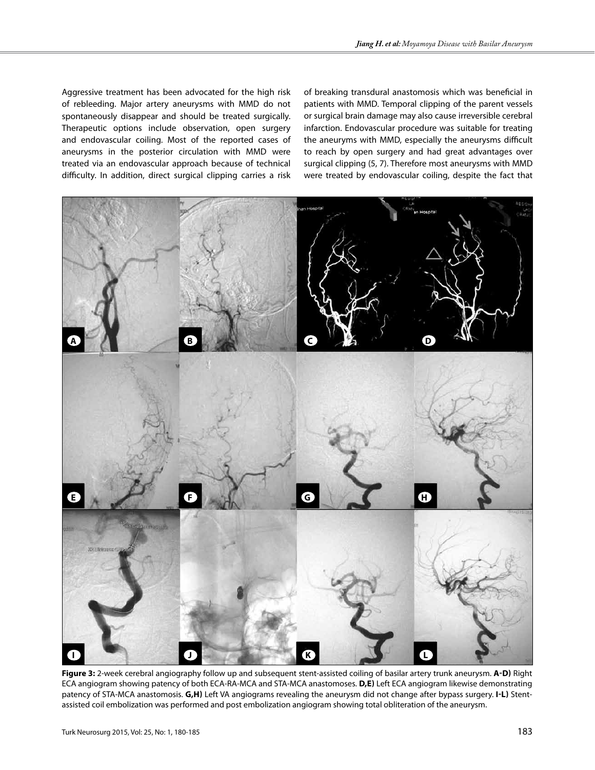Aggressive treatment has been advocated for the high risk of rebleeding. Major artery aneurysms with MMD do not spontaneously disappear and should be treated surgically. Therapeutic options include observation, open surgery and endovascular coiling. Most of the reported cases of aneurysms in the posterior circulation with MMD were treated via an endovascular approach because of technical difficulty. In addition, direct surgical clipping carries a risk of breaking transdural anastomosis which was beneficial in patients with MMD. Temporal clipping of the parent vessels or surgical brain damage may also cause irreversible cerebral infarction. Endovascular procedure was suitable for treating the aneuryms with MMD, especially the aneurysms difficult to reach by open surgery and had great advantages over surgical clipping (5, 7). Therefore most aneurysms with MMD were treated by endovascular coiling, despite the fact that



**Figure 3:** 2-week cerebral angiography follow up and subsequent stent-assisted coiling of basilar artery trunk aneurysm. **A-D)** Right ECA angiogram showing patency of both ECA-RA-MCA and STA-MCA anastomoses. **d,e)** Left ECA angiogram likewise demonstrating patency of STA-MCA anastomosis. **g,h)** Left VA angiograms revealing the aneurysm did not change after bypass surgery. **i-l)** Stentassisted coil embolization was performed and post embolization angiogram showing total obliteration of the aneurysm.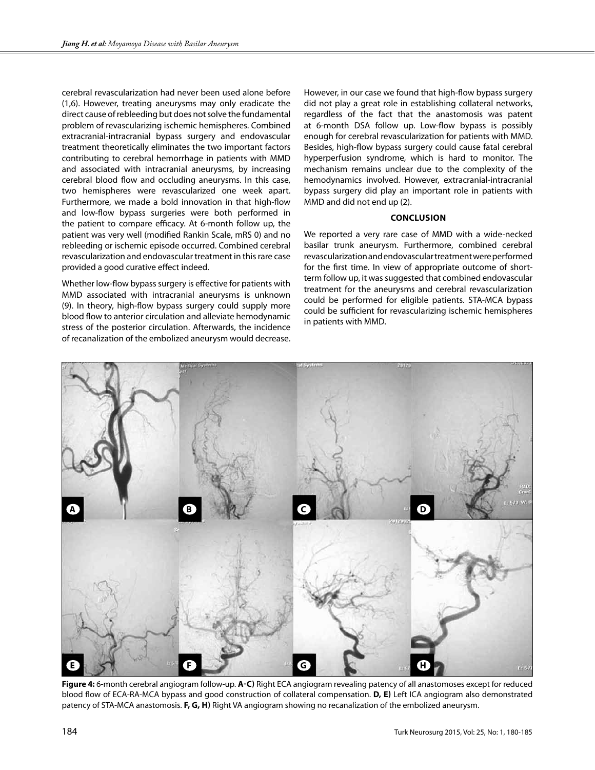cerebral revascularization had never been used alone before (1,6). However, treating aneurysms may only eradicate the direct cause of rebleeding but does not solve the fundamental problem of revascularizing ischemic hemispheres. Combined extracranial-intracranial bypass surgery and endovascular treatment theoretically eliminates the two important factors contributing to cerebral hemorrhage in patients with MMD and associated with intracranial aneurysms, by increasing cerebral blood flow and occluding aneurysms. In this case, two hemispheres were revascularized one week apart. Furthermore, we made a bold innovation in that high-flow and low-flow bypass surgeries were both performed in the patient to compare efficacy. At 6-month follow up, the patient was very well (modified Rankin Scale, mRS 0) and no rebleeding or ischemic episode occurred. Combined cerebral revascularization and endovascular treatment in this rare case provided a good curative effect indeed.

Whether low-flow bypass surgery is effective for patients with MMD associated with intracranial aneurysms is unknown (9). In theory, high-flow bypass surgery could supply more blood flow to anterior circulation and alleviate hemodynamic stress of the posterior circulation. Afterwards, the incidence of recanalization of the embolized aneurysm would decrease. However, in our case we found that high-flow bypass surgery did not play a great role in establishing collateral networks, regardless of the fact that the anastomosis was patent at 6-month DSA follow up. Low-flow bypass is possibly enough for cerebral revascularization for patients with MMD. Besides, high-flow bypass surgery could cause fatal cerebral hyperperfusion syndrome, which is hard to monitor. The mechanism remains unclear due to the complexity of the hemodynamics involved. However, extracranial-intracranial bypass surgery did play an important role in patients with MMD and did not end up (2).

### **Conclusion**

We reported a very rare case of MMD with a wide-necked basilar trunk aneurysm. Furthermore, combined cerebral revascularization and endovascular treatment were performed for the first time. In view of appropriate outcome of shortterm follow up, it was suggested that combined endovascular treatment for the aneurysms and cerebral revascularization could be performed for eligible patients. STA-MCA bypass could be sufficient for revascularizing ischemic hemispheres in patients with MMD.



**Figure 4:** 6-month cerebral angiogram follow-up. **a-c)** Right ECA angiogram revealing patency of all anastomoses except for reduced blood flow of ECA-RA-MCA bypass and good construction of collateral compensation. **d, e)** Left ICA angiogram also demonstrated patency of STA-MCA anastomosis. **f, g, h)** Right VA angiogram showing no recanalization of the embolized aneurysm.